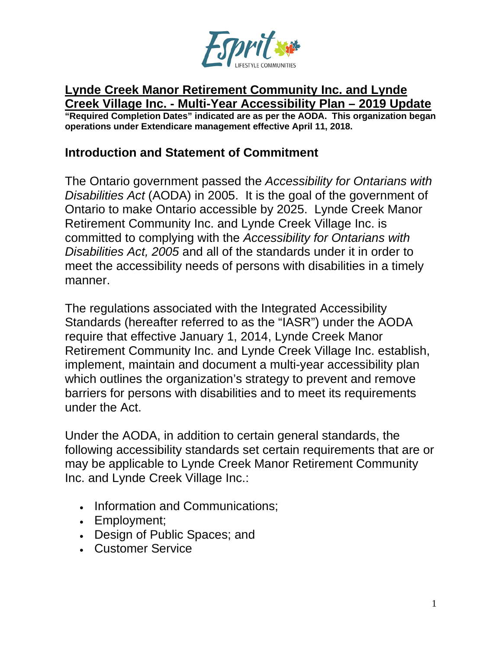

#### **Lynde Creek Manor Retirement Community Inc. and Lynde Creek Village Inc. - Multi-Year Accessibility Plan – 2019 Update**

**"Required Completion Dates" indicated are as per the AODA. This organization began operations under Extendicare management effective April 11, 2018.**

#### **Introduction and Statement of Commitment**

The Ontario government passed the *Accessibility for Ontarians with Disabilities Act* (AODA) in 2005. It is the goal of the government of Ontario to make Ontario accessible by 2025. Lynde Creek Manor Retirement Community Inc. and Lynde Creek Village Inc. is committed to complying with the *Accessibility for Ontarians with Disabilities Act, 2005* and all of the standards under it in order to meet the accessibility needs of persons with disabilities in a timely manner.

The regulations associated with the Integrated Accessibility Standards (hereafter referred to as the "IASR") under the AODA require that effective January 1, 2014, Lynde Creek Manor Retirement Community Inc. and Lynde Creek Village Inc. establish, implement, maintain and document a multi-year accessibility plan which outlines the organization's strategy to prevent and remove barriers for persons with disabilities and to meet its requirements under the Act.

Under the AODA, in addition to certain general standards, the following accessibility standards set certain requirements that are or may be applicable to Lynde Creek Manor Retirement Community Inc. and Lynde Creek Village Inc.:

- Information and Communications;
- Employment;
- Design of Public Spaces; and
- Customer Service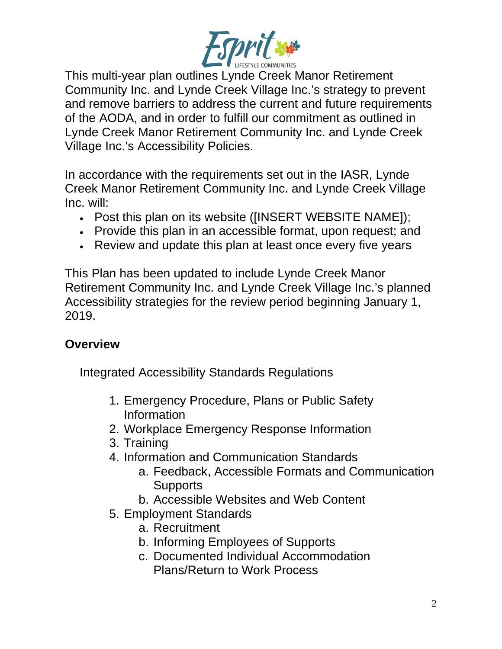

This multi-year plan outlines Lynde Creek Manor Retirement Community Inc. and Lynde Creek Village Inc.'s strategy to prevent and remove barriers to address the current and future requirements of the AODA, and in order to fulfill our commitment as outlined in Lynde Creek Manor Retirement Community Inc. and Lynde Creek Village Inc.'s Accessibility Policies.

In accordance with the requirements set out in the IASR, Lynde Creek Manor Retirement Community Inc. and Lynde Creek Village Inc. will:

- Post this plan on its website ([INSERT WEBSITE NAME]);
- Provide this plan in an accessible format, upon request; and
- Review and update this plan at least once every five years

This Plan has been updated to include Lynde Creek Manor Retirement Community Inc. and Lynde Creek Village Inc.'s planned Accessibility strategies for the review period beginning January 1, 2019.

#### **Overview**

Integrated Accessibility Standards Regulations

- 1. Emergency Procedure, Plans or Public Safety Information
- 2. Workplace Emergency Response Information
- 3. Training
- 4. Information and Communication Standards
	- a. Feedback, Accessible Formats and Communication **Supports**
	- b. Accessible Websites and Web Content
- 5. Employment Standards
	- a. Recruitment
	- b. Informing Employees of Supports
	- c. Documented Individual Accommodation Plans/Return to Work Process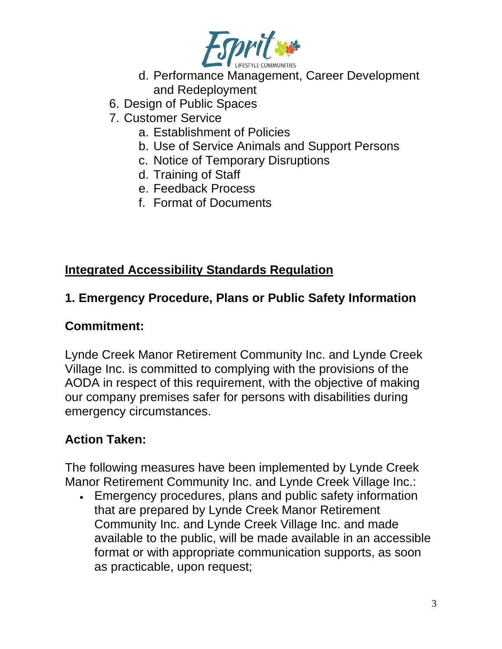

- d. Performance Management, Career Development and Redeployment
- 6. Design of Public Spaces
- 7. Customer Service
	- a. Establishment of Policies
	- b. Use of Service Animals and Support Persons
	- c. Notice of Temporary Disruptions
	- d. Training of Staff
	- e. Feedback Process
	- f. Format of Documents

### **Integrated Accessibility Standards Regulation**

### **1. Emergency Procedure, Plans or Public Safety Information**

#### **Commitment:**

Lynde Creek Manor Retirement Community Inc. and Lynde Creek Village Inc. is committed to complying with the provisions of the AODA in respect of this requirement, with the objective of making our company premises safer for persons with disabilities during emergency circumstances.

## **Action Taken:**

The following measures have been implemented by Lynde Creek Manor Retirement Community Inc. and Lynde Creek Village Inc.:

• Emergency procedures, plans and public safety information that are prepared by Lynde Creek Manor Retirement Community Inc. and Lynde Creek Village Inc. and made available to the public, will be made available in an accessible format or with appropriate communication supports, as soon as practicable, upon request;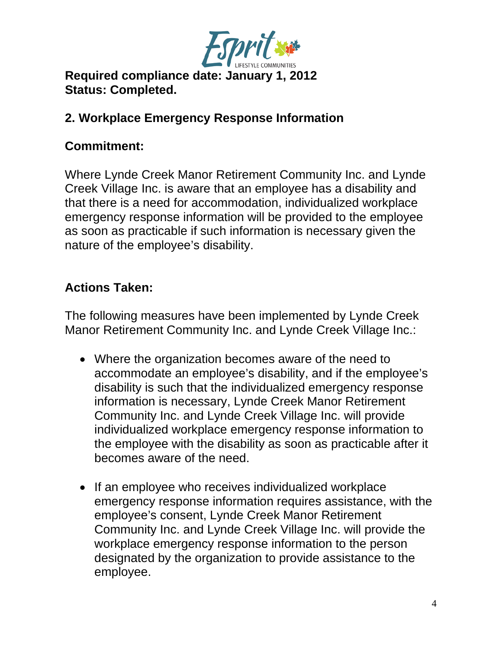

## **Required compliance date: January 1, 2012 Status: Completed.**

## **2. Workplace Emergency Response Information**

#### **Commitment:**

Where Lynde Creek Manor Retirement Community Inc. and Lynde Creek Village Inc. is aware that an employee has a disability and that there is a need for accommodation, individualized workplace emergency response information will be provided to the employee as soon as practicable if such information is necessary given the nature of the employee's disability.

### **Actions Taken:**

The following measures have been implemented by Lynde Creek Manor Retirement Community Inc. and Lynde Creek Village Inc.:

- Where the organization becomes aware of the need to accommodate an employee's disability, and if the employee's disability is such that the individualized emergency response information is necessary, Lynde Creek Manor Retirement Community Inc. and Lynde Creek Village Inc. will provide individualized workplace emergency response information to the employee with the disability as soon as practicable after it becomes aware of the need.
- If an employee who receives individualized workplace emergency response information requires assistance, with the employee's consent, Lynde Creek Manor Retirement Community Inc. and Lynde Creek Village Inc. will provide the workplace emergency response information to the person designated by the organization to provide assistance to the employee.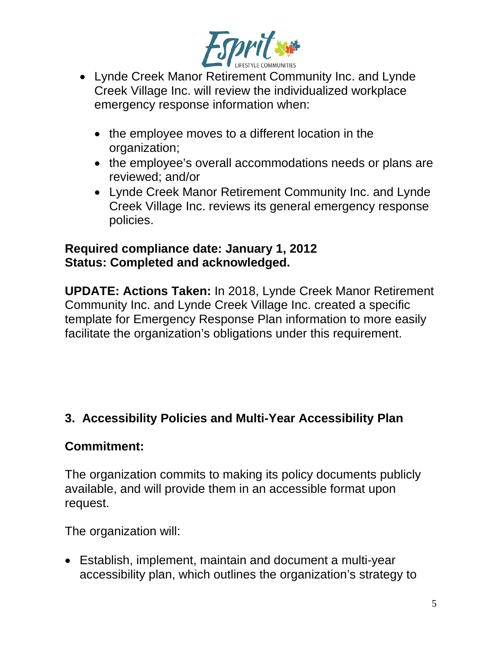

- Lynde Creek Manor Retirement Community Inc. and Lynde Creek Village Inc. will review the individualized workplace emergency response information when:
	- the employee moves to a different location in the organization;
	- the employee's overall accommodations needs or plans are reviewed; and/or
	- Lynde Creek Manor Retirement Community Inc. and Lynde Creek Village Inc. reviews its general emergency response policies.

#### **Required compliance date: January 1, 2012 Status: Completed and acknowledged.**

**UPDATE: Actions Taken:** In 2018, Lynde Creek Manor Retirement Community Inc. and Lynde Creek Village Inc. created a specific template for Emergency Response Plan information to more easily facilitate the organization's obligations under this requirement.

## **3. Accessibility Policies and Multi-Year Accessibility Plan**

## **Commitment:**

The organization commits to making its policy documents publicly available, and will provide them in an accessible format upon request.

The organization will:

• Establish, implement, maintain and document a multi-year accessibility plan, which outlines the organization's strategy to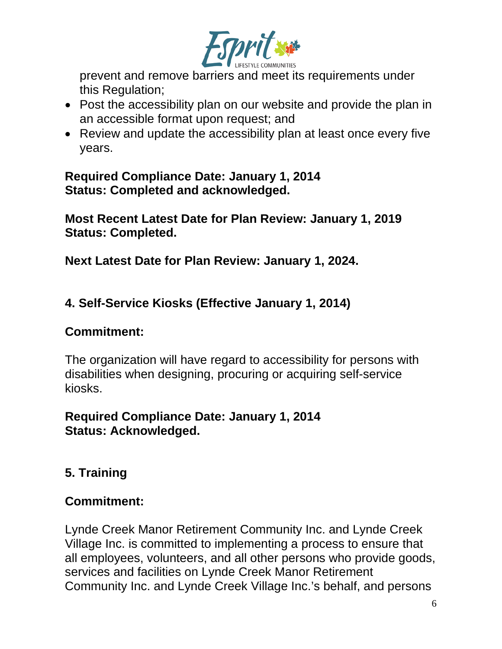

prevent and remove barriers and meet its requirements under this Regulation;

- Post the accessibility plan on our website and provide the plan in an accessible format upon request; and
- Review and update the accessibility plan at least once every five years.

**Required Compliance Date: January 1, 2014 Status: Completed and acknowledged.**

**Most Recent Latest Date for Plan Review: January 1, 2019 Status: Completed.**

**Next Latest Date for Plan Review: January 1, 2024.**

**4. Self-Service Kiosks (Effective January 1, 2014)**

#### **Commitment:**

The organization will have regard to accessibility for persons with disabilities when designing, procuring or acquiring self-service kiosks.

## **Required Compliance Date: January 1, 2014 Status: Acknowledged.**

## **5. Training**

## **Commitment:**

Lynde Creek Manor Retirement Community Inc. and Lynde Creek Village Inc. is committed to implementing a process to ensure that all employees, volunteers, and all other persons who provide goods, services and facilities on Lynde Creek Manor Retirement Community Inc. and Lynde Creek Village Inc.'s behalf, and persons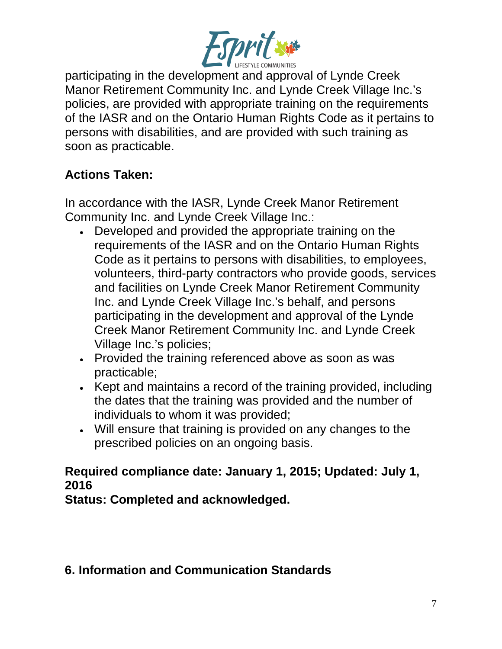

participating in the development and approval of Lynde Creek Manor Retirement Community Inc. and Lynde Creek Village Inc.'s policies, are provided with appropriate training on the requirements of the IASR and on the Ontario Human Rights Code as it pertains to persons with disabilities, and are provided with such training as soon as practicable.

## **Actions Taken:**

In accordance with the IASR, Lynde Creek Manor Retirement Community Inc. and Lynde Creek Village Inc.:

- Developed and provided the appropriate training on the requirements of the IASR and on the Ontario Human Rights Code as it pertains to persons with disabilities, to employees, volunteers, third-party contractors who provide goods, services and facilities on Lynde Creek Manor Retirement Community Inc. and Lynde Creek Village Inc.'s behalf, and persons participating in the development and approval of the Lynde Creek Manor Retirement Community Inc. and Lynde Creek Village Inc.'s policies;
- Provided the training referenced above as soon as was practicable;
- Kept and maintains a record of the training provided, including the dates that the training was provided and the number of individuals to whom it was provided;
- Will ensure that training is provided on any changes to the prescribed policies on an ongoing basis.

## **Required compliance date: January 1, 2015; Updated: July 1, 2016**

**Status: Completed and acknowledged.**

## **6. Information and Communication Standards**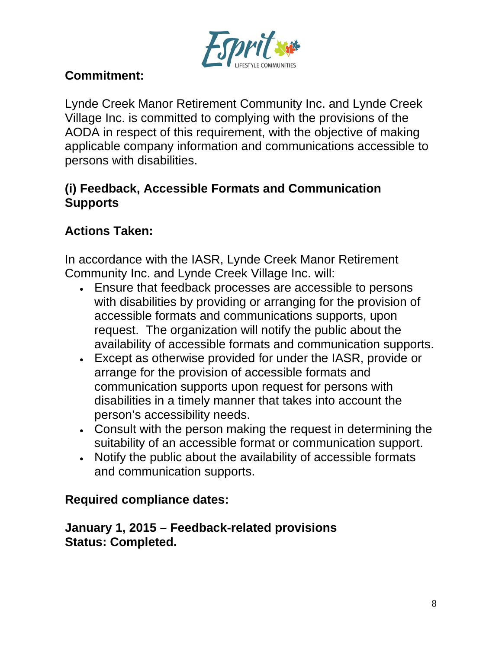

## **Commitment:**

Lynde Creek Manor Retirement Community Inc. and Lynde Creek Village Inc. is committed to complying with the provisions of the AODA in respect of this requirement, with the objective of making applicable company information and communications accessible to persons with disabilities.

## **(i) Feedback, Accessible Formats and Communication Supports**

## **Actions Taken:**

In accordance with the IASR, Lynde Creek Manor Retirement Community Inc. and Lynde Creek Village Inc. will:

- Ensure that feedback processes are accessible to persons with disabilities by providing or arranging for the provision of accessible formats and communications supports, upon request. The organization will notify the public about the availability of accessible formats and communication supports.
- Except as otherwise provided for under the IASR, provide or arrange for the provision of accessible formats and communication supports upon request for persons with disabilities in a timely manner that takes into account the person's accessibility needs.
- Consult with the person making the request in determining the suitability of an accessible format or communication support.
- Notify the public about the availability of accessible formats and communication supports.

## **Required compliance dates:**

**January 1, 2015 – Feedback-related provisions Status: Completed.**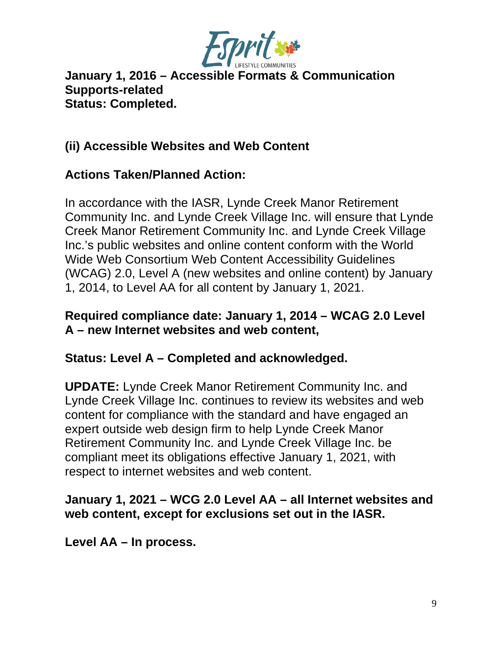

**January 1, 2016 – Accessible Formats & Communication Supports-related Status: Completed.**

## **(ii) Accessible Websites and Web Content**

### **Actions Taken/Planned Action:**

In accordance with the IASR, Lynde Creek Manor Retirement Community Inc. and Lynde Creek Village Inc. will ensure that Lynde Creek Manor Retirement Community Inc. and Lynde Creek Village Inc.'s public websites and online content conform with the World Wide Web Consortium Web Content Accessibility Guidelines (WCAG) 2.0, Level A (new websites and online content) by January 1, 2014, to Level AA for all content by January 1, 2021.

#### **Required compliance date: January 1, 2014 – WCAG 2.0 Level A – new Internet websites and web content,**

#### **Status: Level A – Completed and acknowledged.**

**UPDATE:** Lynde Creek Manor Retirement Community Inc. and Lynde Creek Village Inc. continues to review its websites and web content for compliance with the standard and have engaged an expert outside web design firm to help Lynde Creek Manor Retirement Community Inc. and Lynde Creek Village Inc. be compliant meet its obligations effective January 1, 2021, with respect to internet websites and web content.

#### **January 1, 2021 – WCG 2.0 Level AA – all Internet websites and web content, except for exclusions set out in the IASR.**

**Level AA – In process.**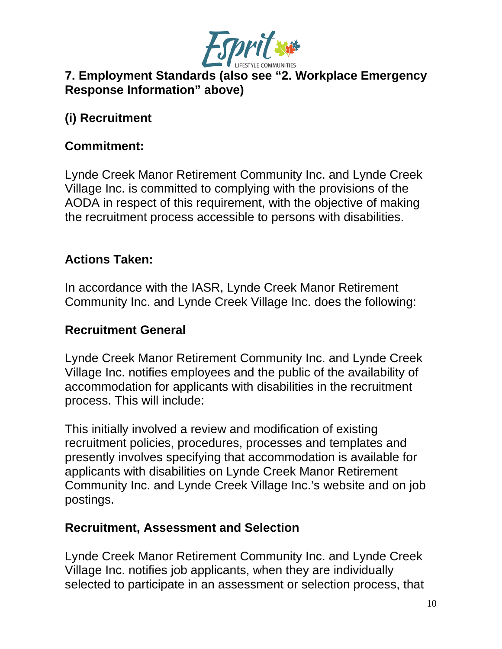

## **7. Employment Standards (also see "2. Workplace Emergency Response Information" above)**

## **(i) Recruitment**

### **Commitment:**

Lynde Creek Manor Retirement Community Inc. and Lynde Creek Village Inc. is committed to complying with the provisions of the AODA in respect of this requirement, with the objective of making the recruitment process accessible to persons with disabilities.

## **Actions Taken:**

In accordance with the IASR, Lynde Creek Manor Retirement Community Inc. and Lynde Creek Village Inc. does the following:

#### **Recruitment General**

Lynde Creek Manor Retirement Community Inc. and Lynde Creek Village Inc. notifies employees and the public of the availability of accommodation for applicants with disabilities in the recruitment process. This will include:

This initially involved a review and modification of existing recruitment policies, procedures, processes and templates and presently involves specifying that accommodation is available for applicants with disabilities on Lynde Creek Manor Retirement Community Inc. and Lynde Creek Village Inc.'s website and on job postings.

#### **Recruitment, Assessment and Selection**

Lynde Creek Manor Retirement Community Inc. and Lynde Creek Village Inc. notifies job applicants, when they are individually selected to participate in an assessment or selection process, that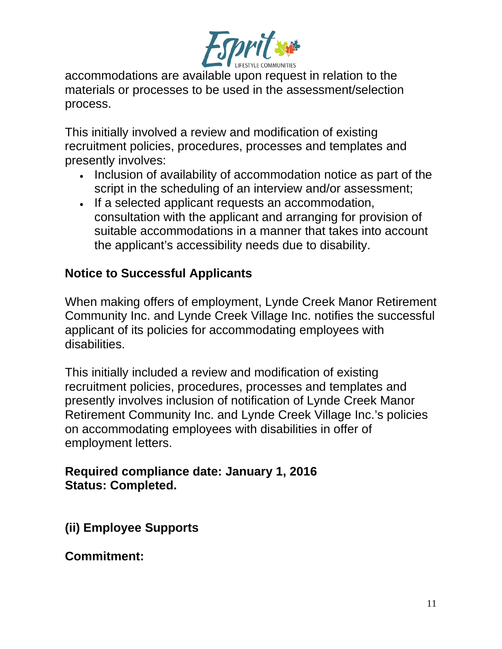

accommodations are available upon request in relation to the materials or processes to be used in the assessment/selection process.

This initially involved a review and modification of existing recruitment policies, procedures, processes and templates and presently involves:

- Inclusion of availability of accommodation notice as part of the script in the scheduling of an interview and/or assessment;
- If a selected applicant requests an accommodation, consultation with the applicant and arranging for provision of suitable accommodations in a manner that takes into account the applicant's accessibility needs due to disability.

### **Notice to Successful Applicants**

When making offers of employment, Lynde Creek Manor Retirement Community Inc. and Lynde Creek Village Inc. notifies the successful applicant of its policies for accommodating employees with disabilities.

This initially included a review and modification of existing recruitment policies, procedures, processes and templates and presently involves inclusion of notification of Lynde Creek Manor Retirement Community Inc. and Lynde Creek Village Inc.'s policies on accommodating employees with disabilities in offer of employment letters.

#### **Required compliance date: January 1, 2016 Status: Completed.**

**(ii) Employee Supports**

**Commitment:**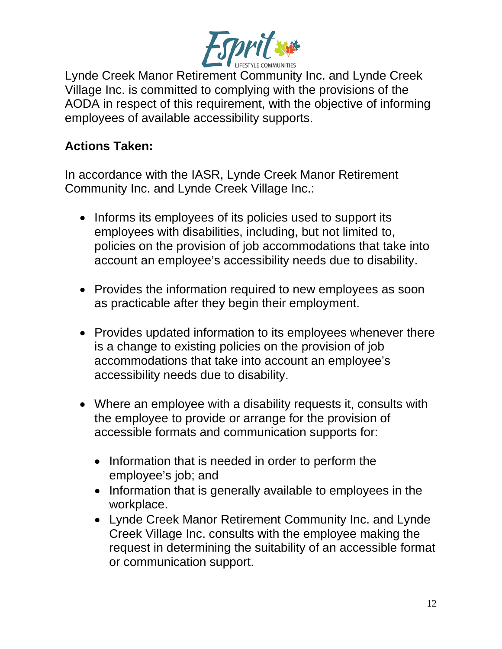

Lynde Creek Manor Retirement Community Inc. and Lynde Creek Village Inc. is committed to complying with the provisions of the AODA in respect of this requirement, with the objective of informing employees of available accessibility supports.

## **Actions Taken:**

In accordance with the IASR, Lynde Creek Manor Retirement Community Inc. and Lynde Creek Village Inc.:

- Informs its employees of its policies used to support its employees with disabilities, including, but not limited to, policies on the provision of job accommodations that take into account an employee's accessibility needs due to disability.
- Provides the information required to new employees as soon as practicable after they begin their employment.
- Provides updated information to its employees whenever there is a change to existing policies on the provision of job accommodations that take into account an employee's accessibility needs due to disability.
- Where an employee with a disability requests it, consults with the employee to provide or arrange for the provision of accessible formats and communication supports for:
	- Information that is needed in order to perform the employee's job; and
	- Information that is generally available to employees in the workplace.
	- Lynde Creek Manor Retirement Community Inc. and Lynde Creek Village Inc. consults with the employee making the request in determining the suitability of an accessible format or communication support.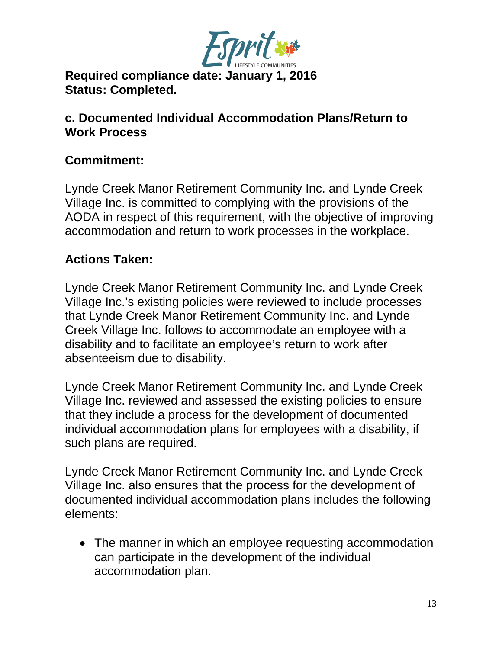

**Required compliance date: January 1, 2016 Status: Completed.**

#### **c. Documented Individual Accommodation Plans/Return to Work Process**

## **Commitment:**

Lynde Creek Manor Retirement Community Inc. and Lynde Creek Village Inc. is committed to complying with the provisions of the AODA in respect of this requirement, with the objective of improving accommodation and return to work processes in the workplace.

### **Actions Taken:**

Lynde Creek Manor Retirement Community Inc. and Lynde Creek Village Inc.'s existing policies were reviewed to include processes that Lynde Creek Manor Retirement Community Inc. and Lynde Creek Village Inc. follows to accommodate an employee with a disability and to facilitate an employee's return to work after absenteeism due to disability.

Lynde Creek Manor Retirement Community Inc. and Lynde Creek Village Inc. reviewed and assessed the existing policies to ensure that they include a process for the development of documented individual accommodation plans for employees with a disability, if such plans are required.

Lynde Creek Manor Retirement Community Inc. and Lynde Creek Village Inc. also ensures that the process for the development of documented individual accommodation plans includes the following elements:

• The manner in which an employee requesting accommodation can participate in the development of the individual accommodation plan.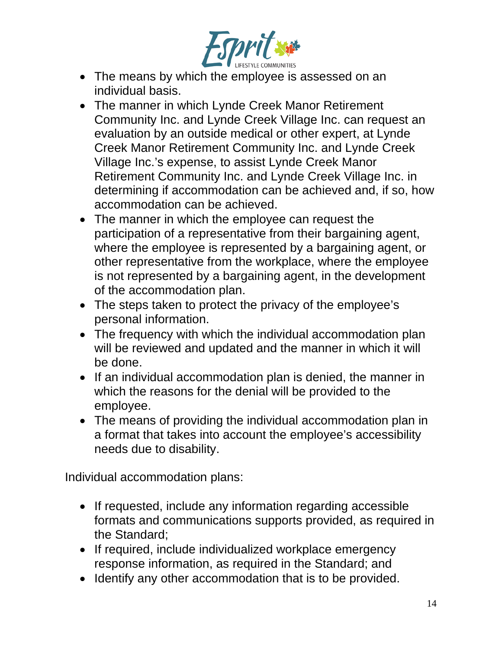

- The means by which the employee is assessed on an individual basis.
- The manner in which Lynde Creek Manor Retirement Community Inc. and Lynde Creek Village Inc. can request an evaluation by an outside medical or other expert, at Lynde Creek Manor Retirement Community Inc. and Lynde Creek Village Inc.'s expense, to assist Lynde Creek Manor Retirement Community Inc. and Lynde Creek Village Inc. in determining if accommodation can be achieved and, if so, how accommodation can be achieved.
- The manner in which the employee can request the participation of a representative from their bargaining agent, where the employee is represented by a bargaining agent, or other representative from the workplace, where the employee is not represented by a bargaining agent, in the development of the accommodation plan.
- The steps taken to protect the privacy of the employee's personal information.
- The frequency with which the individual accommodation plan will be reviewed and updated and the manner in which it will be done.
- If an individual accommodation plan is denied, the manner in which the reasons for the denial will be provided to the employee.
- The means of providing the individual accommodation plan in a format that takes into account the employee's accessibility needs due to disability.

Individual accommodation plans:

- If requested, include any information regarding accessible formats and communications supports provided, as required in the Standard;
- If required, include individualized workplace emergency response information, as required in the Standard; and
- Identify any other accommodation that is to be provided.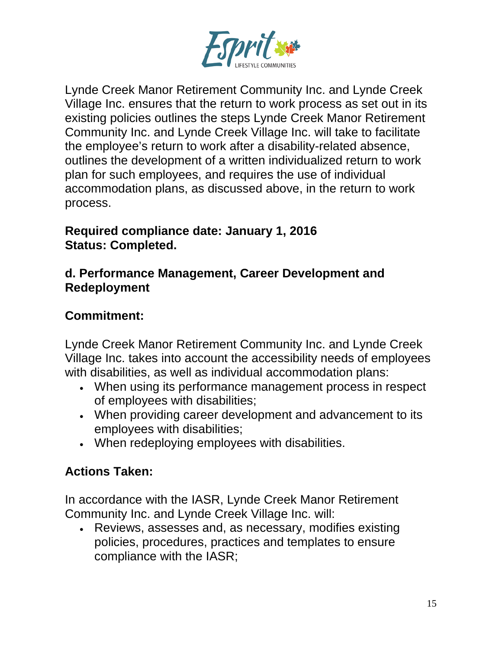

Lynde Creek Manor Retirement Community Inc. and Lynde Creek Village Inc. ensures that the return to work process as set out in its existing policies outlines the steps Lynde Creek Manor Retirement Community Inc. and Lynde Creek Village Inc. will take to facilitate the employee's return to work after a disability-related absence, outlines the development of a written individualized return to work plan for such employees, and requires the use of individual accommodation plans, as discussed above, in the return to work process.

#### **Required compliance date: January 1, 2016 Status: Completed.**

#### **d. Performance Management, Career Development and Redeployment**

## **Commitment:**

Lynde Creek Manor Retirement Community Inc. and Lynde Creek Village Inc. takes into account the accessibility needs of employees with disabilities, as well as individual accommodation plans:

- When using its performance management process in respect of employees with disabilities;
- When providing career development and advancement to its employees with disabilities;
- When redeploying employees with disabilities.

# **Actions Taken:**

In accordance with the IASR, Lynde Creek Manor Retirement Community Inc. and Lynde Creek Village Inc. will:

• Reviews, assesses and, as necessary, modifies existing policies, procedures, practices and templates to ensure compliance with the IASR;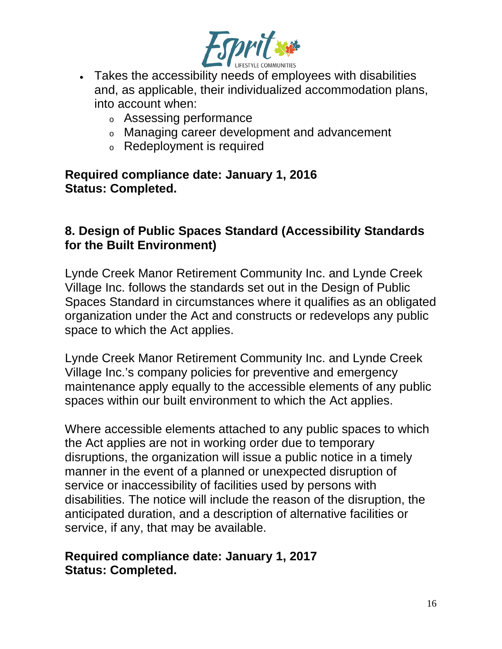

- Takes the accessibility needs of employees with disabilities and, as applicable, their individualized accommodation plans, into account when:
	- <sup>o</sup> Assessing performance
	- <sup>o</sup> Managing career development and advancement
	- <sup>o</sup> Redeployment is required

**Required compliance date: January 1, 2016 Status: Completed.**

#### **8. Design of Public Spaces Standard (Accessibility Standards for the Built Environment)**

Lynde Creek Manor Retirement Community Inc. and Lynde Creek Village Inc. follows the standards set out in the Design of Public Spaces Standard in circumstances where it qualifies as an obligated organization under the Act and constructs or redevelops any public space to which the Act applies.

Lynde Creek Manor Retirement Community Inc. and Lynde Creek Village Inc.'s company policies for preventive and emergency maintenance apply equally to the accessible elements of any public spaces within our built environment to which the Act applies.

Where accessible elements attached to any public spaces to which the Act applies are not in working order due to temporary disruptions, the organization will issue a public notice in a timely manner in the event of a planned or unexpected disruption of service or inaccessibility of facilities used by persons with disabilities. The notice will include the reason of the disruption, the anticipated duration, and a description of alternative facilities or service, if any, that may be available.

#### **Required compliance date: January 1, 2017 Status: Completed.**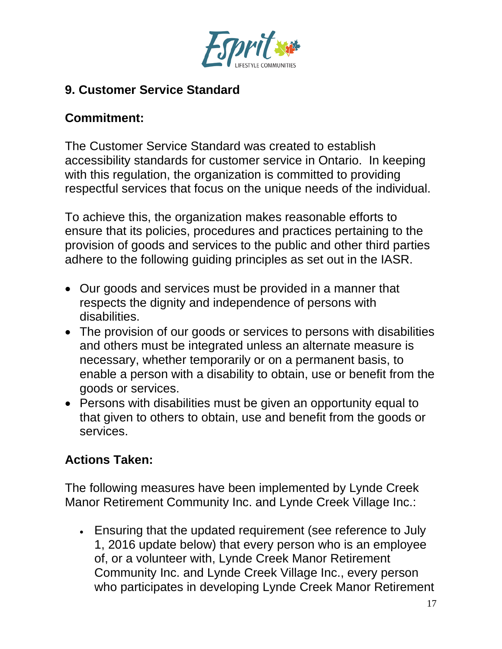

## **9. Customer Service Standard**

## **Commitment:**

The Customer Service Standard was created to establish accessibility standards for customer service in Ontario. In keeping with this regulation, the organization is committed to providing respectful services that focus on the unique needs of the individual.

To achieve this, the organization makes reasonable efforts to ensure that its policies, procedures and practices pertaining to the provision of goods and services to the public and other third parties adhere to the following guiding principles as set out in the IASR.

- Our goods and services must be provided in a manner that respects the dignity and independence of persons with disabilities.
- The provision of our goods or services to persons with disabilities and others must be integrated unless an alternate measure is necessary, whether temporarily or on a permanent basis, to enable a person with a disability to obtain, use or benefit from the goods or services.
- Persons with disabilities must be given an opportunity equal to that given to others to obtain, use and benefit from the goods or services.

## **Actions Taken:**

The following measures have been implemented by Lynde Creek Manor Retirement Community Inc. and Lynde Creek Village Inc.:

• Ensuring that the updated requirement (see reference to July 1, 2016 update below) that every person who is an employee of, or a volunteer with, Lynde Creek Manor Retirement Community Inc. and Lynde Creek Village Inc., every person who participates in developing Lynde Creek Manor Retirement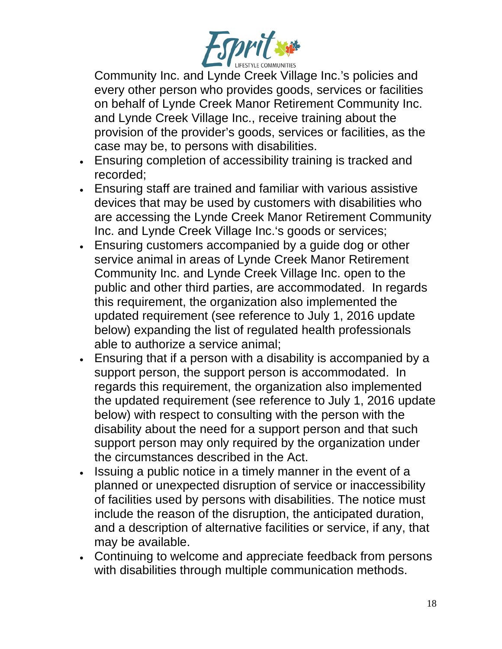

Community Inc. and Lynde Creek Village Inc.'s policies and every other person who provides goods, services or facilities on behalf of Lynde Creek Manor Retirement Community Inc. and Lynde Creek Village Inc., receive training about the provision of the provider's goods, services or facilities, as the case may be, to persons with disabilities.

- Ensuring completion of accessibility training is tracked and recorded;
- Ensuring staff are trained and familiar with various assistive devices that may be used by customers with disabilities who are accessing the Lynde Creek Manor Retirement Community Inc. and Lynde Creek Village Inc.'s goods or services;
- Ensuring customers accompanied by a guide dog or other service animal in areas of Lynde Creek Manor Retirement Community Inc. and Lynde Creek Village Inc. open to the public and other third parties, are accommodated. In regards this requirement, the organization also implemented the updated requirement (see reference to July 1, 2016 update below) expanding the list of regulated health professionals able to authorize a service animal;
- Ensuring that if a person with a disability is accompanied by a support person, the support person is accommodated. In regards this requirement, the organization also implemented the updated requirement (see reference to July 1, 2016 update below) with respect to consulting with the person with the disability about the need for a support person and that such support person may only required by the organization under the circumstances described in the Act.
- Issuing a public notice in a timely manner in the event of a planned or unexpected disruption of service or inaccessibility of facilities used by persons with disabilities. The notice must include the reason of the disruption, the anticipated duration, and a description of alternative facilities or service, if any, that may be available.
- Continuing to welcome and appreciate feedback from persons with disabilities through multiple communication methods.